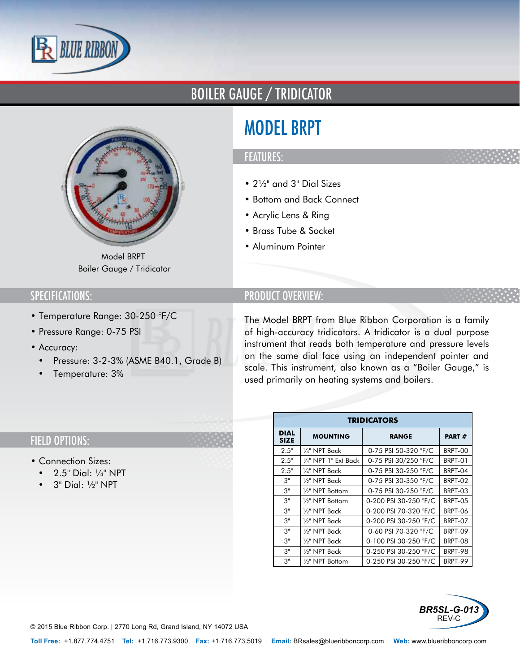

# BOILER GAUGE / TRIDICATOR



Model BRPT Boiler Gauge / Tridicator

## SPECIFICATIONS:

- Temperature Range: 30-250 °F/C
- Pressure Range: 0-75 PSI
- Accuracy:
	- Pressure: 3-2-3% (ASME B40.1, Grade B)
	- Temperature: 3%

# MODEL BRPT

### FEATURES:

- 2½" and 3" Dial Sizes
- Bottom and Back Connect
- Acrylic Lens & Ring
- Brass Tube & Socket
- Aluminum Pointer

## PRODUCT OVERVIEW:

The Model BRPT from Blue Ribbon Corporation is a family of high-accuracy tridicators. A tridicator is a dual purpose instrument that reads both temperature and pressure levels on the same dial face using an independent pointer and scale. This instrument, also known as a "Boiler Gauge," is used primarily on heating systems and boilers.

| <b>TRIDICATORS</b>         |                              |                       |         |
|----------------------------|------------------------------|-----------------------|---------|
| <b>DIAL</b><br><b>SIZE</b> | <b>MOUNTING</b>              | <b>RANGE</b>          | PART#   |
| 2.5"                       | 1⁄4" NPT Back                | 0-75 PSI 50-320 °F/C  | BRPT-00 |
| 2.5"                       | 1⁄4" NPT 1" Ext Back         | 0-75 PSI 30/250 °F/C  | BRPT-01 |
| 2.5"                       | 1⁄4" NPT Back                | 0-75 PSI 30-250 °F/C  | BRPT-04 |
| З"                         | 1⁄2" NPT Back                | 0-75 PSI 30-350 °F/C  | BRPT-02 |
| 3"                         | 1⁄9" NPT Bottom              | 0-75 PSI 30-250 °F/C  | BRPT-03 |
| 3"                         | 1/ <sub>2</sub> " NPT Bottom | 0-200 PSI 30-250 °F/C | BRPT-05 |
| 3"                         | 1⁄9" NPT Back                | 0-200 PSI 70-320 °F/C | BRPT-06 |
| 3"                         | 1/ <sub>2</sub> " NPT Back   | 0-200 PSI 30-250 °F/C | BRPT-07 |
| 3"                         | 1/2" NPT Back                | 0-60 PSI 70-320 °F/C  | BRPT-09 |
| З"                         | 1/2" NPT Back                | 0-100 PSI 30-250 °F/C | BRPT-08 |
| 3"                         | 1/ <sub>2</sub> " NPT Back   | 0-250 PSI 30-250 °F/C | BRPT-98 |
| 3"                         | 1/ <sub>2</sub> " NPT Bottom | 0-250 PSI 30-250 °F/C | BRPT-99 |



### FIELD OPTIONS:

- Connection Sizes:
- 2.5" Dial: ¼" NPT
- 3" Dial: ½" NPT

© 2015 Blue Ribbon Corp. *<sup>|</sup>* 2770 Long Rd, Grand Island, NY 14072 USA